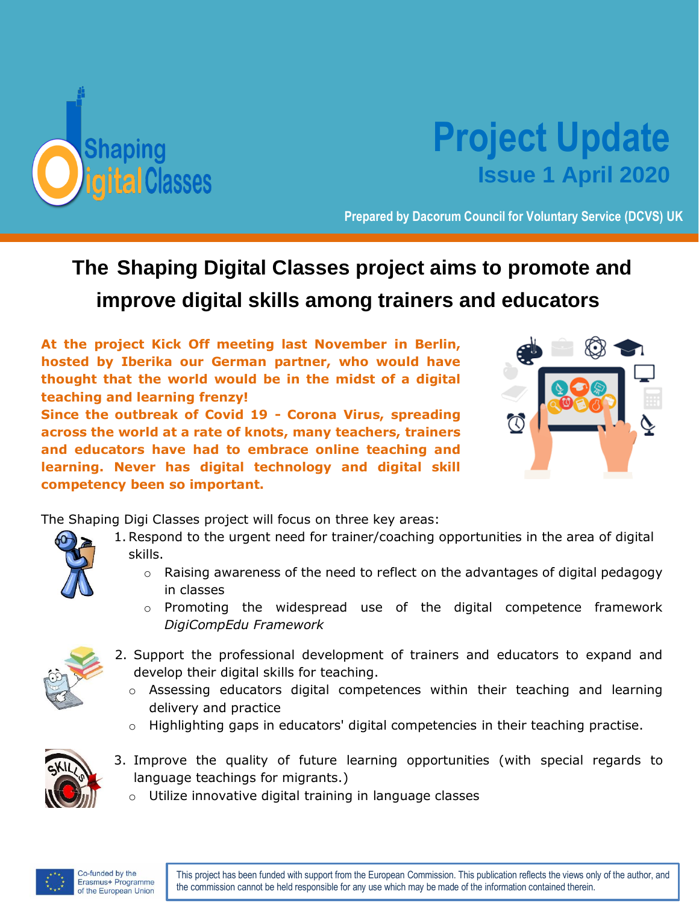

## **Project Update Issue 1 April 2020**

**Prepared by Dacorum Council for Voluntary Service (DCVS) UK**

## **The Shaping Digital Classes project aims to promote and improve digital skills among trainers and educators.**

**At the project Kick Off meeting last November in Berlin, hosted by Iberika our German partner, who would have thought that the world would be in the midst of a digital teaching and learning frenzy!** 

**Since the outbreak of Covid 19 - Corona Virus, spreading across the world at a rate of knots, many teachers, trainers and educators have had to embrace online teaching and learning. Never has digital technology and digital skill competency been so important.**



The Shaping Digi Classes project will focus on three key areas:

- 1.Respond to the urgent need for trainer/coaching opportunities in the area of digital skills.
	- $\circ$  Raising awareness of the need to reflect on the advantages of digital pedagogy in classes
	- o Promoting the widespread use of the digital competence framework *DigiCompEdu Framework*



- 2. Support the professional development of trainers and educators to expand and develop their digital skills for teaching.
	- o Assessing educators digital competences within their teaching and learning delivery and practice
	- o Highlighting gaps in educators' digital competencies in their teaching practise.



- 3. Improve the quality of future learning opportunities (with special regards to language teachings for migrants.)
	- o Utilize innovative digital training in language classes